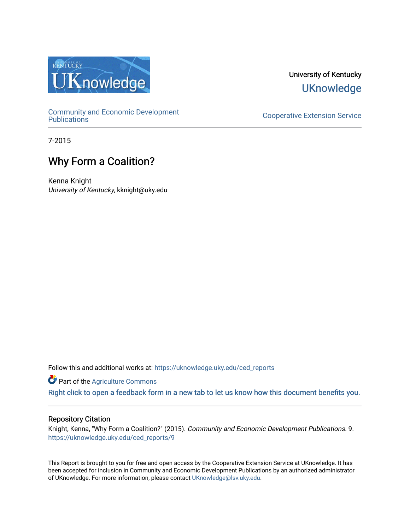

University of Kentucky **UKnowledge** 

[Community and Economic Development](https://uknowledge.uky.edu/ced_reports) 

**Cooperative Extension Service** 

7-2015

## Why Form a Coalition?

Kenna Knight University of Kentucky, kknight@uky.edu

Follow this and additional works at: [https://uknowledge.uky.edu/ced\\_reports](https://uknowledge.uky.edu/ced_reports?utm_source=uknowledge.uky.edu%2Fced_reports%2F9&utm_medium=PDF&utm_campaign=PDFCoverPages)

**Part of the [Agriculture Commons](http://network.bepress.com/hgg/discipline/1076?utm_source=uknowledge.uky.edu%2Fced_reports%2F9&utm_medium=PDF&utm_campaign=PDFCoverPages)** 

[Right click to open a feedback form in a new tab to let us know how this document benefits you.](https://uky.az1.qualtrics.com/jfe/form/SV_9mq8fx2GnONRfz7)

#### Repository Citation

Knight, Kenna, "Why Form a Coalition?" (2015). Community and Economic Development Publications. 9. [https://uknowledge.uky.edu/ced\\_reports/9](https://uknowledge.uky.edu/ced_reports/9?utm_source=uknowledge.uky.edu%2Fced_reports%2F9&utm_medium=PDF&utm_campaign=PDFCoverPages) 

This Report is brought to you for free and open access by the Cooperative Extension Service at UKnowledge. It has been accepted for inclusion in Community and Economic Development Publications by an authorized administrator of UKnowledge. For more information, please contact [UKnowledge@lsv.uky.edu.](mailto:UKnowledge@lsv.uky.edu)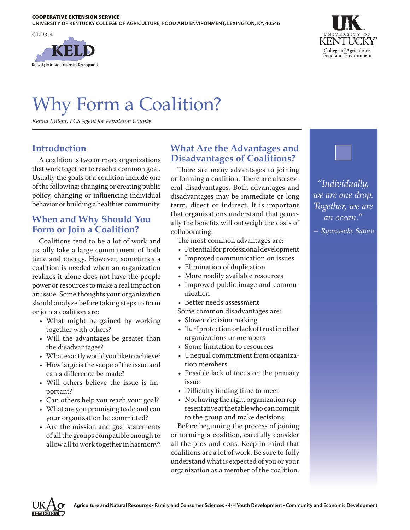



# Why Form a Coalition?

*Kenna Knight, FCS Agent for Pendleton County*

## **Introduction**

A coalition is two or more organizations that work together to reach a common goal. Usually the goals of a coalition include one of the following: changing or creating public policy, changing or influencing individual behavior or building a healthier community.

## **When and Why Should You Form or Join a Coalition?**

Coalitions tend to be a lot of work and usually take a large commitment of both time and energy. However, sometimes a coalition is needed when an organization realizes it alone does not have the people power or resources to make a real impact on an issue. Some thoughts your organization should analyze before taking steps to form or join a coalition are:

- What might be gained by working together with others?
- Will the advantages be greater than the disadvantages?
- What exactly would you like to achieve?
- How large is the scope of the issue and can a difference be made?
- Will others believe the issue is important?
- Can others help you reach your goal?
- What are you promising to do and can your organization be committed?
- Are the mission and goal statements of all the groups compatible enough to allow all to work together in harmony?

## **What Are the Advantages and Disadvantages of Coalitions?**

There are many advantages to joining or forming a coalition. There are also several disadvantages. Both advantages and disadvantages may be immediate or long term, direct or indirect. It is important that organizations understand that generally the benefits will outweigh the costs of collaborating.

The most common advantages are:

- Potential for professional development
- Improved communication on issues
- Elimination of duplication
- More readily available resources
- Improved public image and communication
- Better needs assessment

Some common disadvantages are:

- Slower decision making
- Turf protection or lack of trust in other organizations or members
- Some limitation to resources
- Unequal commitment from organization members
- Possible lack of focus on the primary issue
- Difficulty finding time to meet
- Not having the right organization representative at the table who can commit to the group and make decisions

Before beginning the process of joining or forming a coalition, carefully consider all the pros and cons. Keep in mind that coalitions are a lot of work. Be sure to fully understand what is expected of you or your organization as a member of the coalition.



*["Individually,](http://thinkexist.com/quotation/individually-we-are-one-drop-together-we-are-an/391196.html)  [we are one drop.](http://thinkexist.com/quotation/individually-we-are-one-drop-together-we-are-an/391196.html)  [Together, we are](http://thinkexist.com/quotation/individually-we-are-one-drop-together-we-are-an/391196.html)  [an ocean."](http://thinkexist.com/quotation/individually-we-are-one-drop-together-we-are-an/391196.html)*

*—[Ryunosuke Satoro](http://thinkexist.com/quotes/ryunosuke_satoro/)*